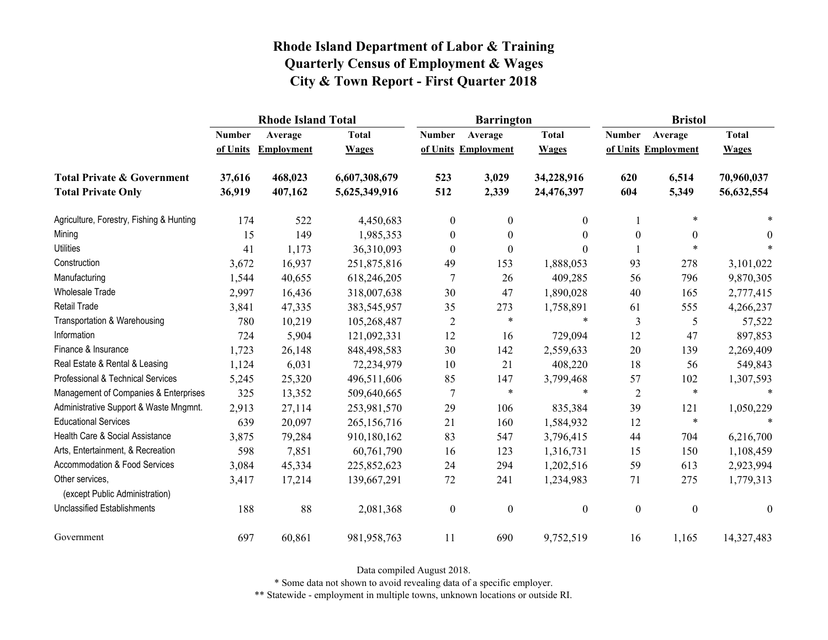|                                                   |               | <b>Rhode Island Total</b> |               |                  | <b>Barrington</b>   |                  | <b>Bristol</b>   |                     |                  |
|---------------------------------------------------|---------------|---------------------------|---------------|------------------|---------------------|------------------|------------------|---------------------|------------------|
|                                                   | <b>Number</b> | Average                   | <b>Total</b>  | <b>Number</b>    | Average             | <b>Total</b>     | <b>Number</b>    | Average             | <b>Total</b>     |
|                                                   | of Units      | Employment                | <b>Wages</b>  |                  | of Units Employment | <b>Wages</b>     |                  | of Units Employment | <b>Wages</b>     |
| <b>Total Private &amp; Government</b>             | 37,616        | 468,023                   | 6,607,308,679 | 523              | 3,029               | 34,228,916       | 620              | 6,514               | 70,960,037       |
| <b>Total Private Only</b>                         | 36,919        | 407,162                   | 5,625,349,916 | 512              | 2,339               | 24,476,397       | 604              | 5,349               | 56,632,554       |
| Agriculture, Forestry, Fishing & Hunting          | 174           | 522                       | 4,450,683     | $\mathbf{0}$     | $\boldsymbol{0}$    | 0                |                  | $\ast$              |                  |
| Mining                                            | 15            | 149                       | 1,985,353     | $\boldsymbol{0}$ | $\boldsymbol{0}$    | $\theta$         | $\boldsymbol{0}$ | $\theta$            | $\theta$         |
| <b>Utilities</b>                                  | 41            | 1,173                     | 36,310,093    | $\theta$         | $\boldsymbol{0}$    | $\Omega$         |                  | $\ast$              |                  |
| Construction                                      | 3,672         | 16,937                    | 251,875,816   | 49               | 153                 | 1,888,053        | 93               | 278                 | 3,101,022        |
| Manufacturing                                     | 1,544         | 40,655                    | 618,246,205   | 7                | 26                  | 409,285          | 56               | 796                 | 9,870,305        |
| Wholesale Trade                                   | 2,997         | 16,436                    | 318,007,638   | 30               | 47                  | 1,890,028        | 40               | 165                 | 2,777,415        |
| <b>Retail Trade</b>                               | 3,841         | 47,335                    | 383,545,957   | 35               | 273                 | 1,758,891        | 61               | 555                 | 4,266,237        |
| Transportation & Warehousing                      | 780           | 10,219                    | 105,268,487   | $\overline{2}$   | $\ast$              | $\ast$           | $\mathfrak{Z}$   | 5                   | 57,522           |
| Information                                       | 724           | 5,904                     | 121,092,331   | 12               | 16                  | 729,094          | 12               | 47                  | 897,853          |
| Finance & Insurance                               | 1,723         | 26,148                    | 848,498,583   | 30               | 142                 | 2,559,633        | 20               | 139                 | 2,269,409        |
| Real Estate & Rental & Leasing                    | 1,124         | 6,031                     | 72,234,979    | 10               | 21                  | 408,220          | 18               | 56                  | 549,843          |
| Professional & Technical Services                 | 5,245         | 25,320                    | 496,511,606   | 85               | 147                 | 3,799,468        | 57               | 102                 | 1,307,593        |
| Management of Companies & Enterprises             | 325           | 13,352                    | 509,640,665   | 7                | $\ast$              | $\ast$           | $\overline{2}$   | $\ast$              | $\ast$           |
| Administrative Support & Waste Mngmnt.            | 2,913         | 27,114                    | 253,981,570   | 29               | 106                 | 835,384          | 39               | 121                 | 1,050,229        |
| <b>Educational Services</b>                       | 639           | 20,097                    | 265,156,716   | 21               | 160                 | 1,584,932        | 12               | $\ast$              | $\ast$           |
| Health Care & Social Assistance                   | 3,875         | 79,284                    | 910,180,162   | 83               | 547                 | 3,796,415        | 44               | 704                 | 6,216,700        |
| Arts, Entertainment, & Recreation                 | 598           | 7,851                     | 60,761,790    | 16               | 123                 | 1,316,731        | 15               | 150                 | 1,108,459        |
| Accommodation & Food Services                     | 3,084         | 45,334                    | 225,852,623   | 24               | 294                 | 1,202,516        | 59               | 613                 | 2,923,994        |
| Other services,<br>(except Public Administration) | 3,417         | 17,214                    | 139,667,291   | 72               | 241                 | 1,234,983        | 71               | 275                 | 1,779,313        |
| <b>Unclassified Establishments</b>                | 188           | 88                        | 2,081,368     | $\boldsymbol{0}$ | $\boldsymbol{0}$    | $\boldsymbol{0}$ | $\boldsymbol{0}$ | $\boldsymbol{0}$    | $\boldsymbol{0}$ |
| Government                                        | 697           | 60,861                    | 981, 958, 763 | 11               | 690                 | 9,752,519        | 16               | 1,165               | 14,327,483       |

Data compiled August 2018.

\* Some data not shown to avoid revealing data of a specific employer.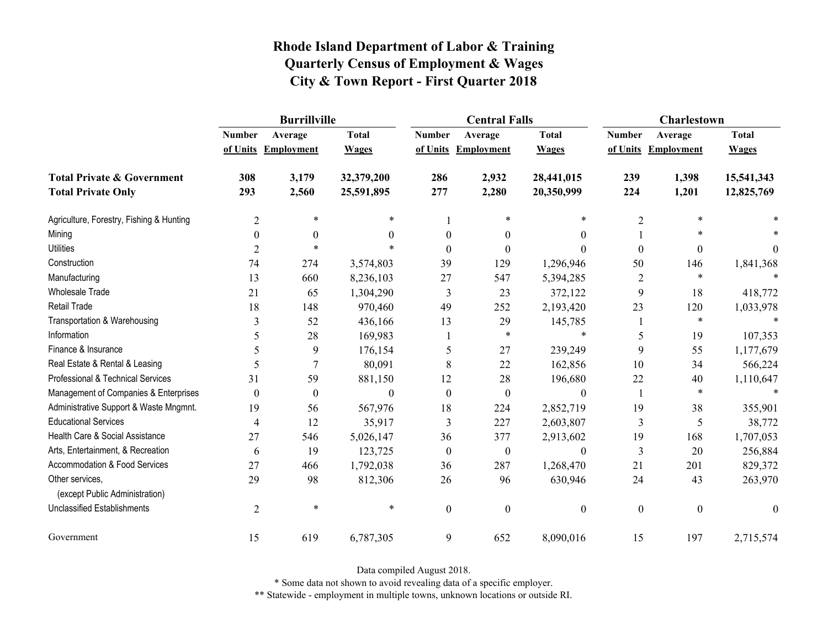|                                                   | <b>Burrillville</b> |                     |              |                  | <b>Central Falls</b> |                  | Charlestown      |                     |              |
|---------------------------------------------------|---------------------|---------------------|--------------|------------------|----------------------|------------------|------------------|---------------------|--------------|
|                                                   | <b>Number</b>       | Average             | <b>Total</b> | <b>Number</b>    | Average              | <b>Total</b>     | <b>Number</b>    | Average             | <b>Total</b> |
|                                                   |                     | of Units Employment | <b>Wages</b> |                  | of Units Employment  | <b>Wages</b>     |                  | of Units Employment | <b>Wages</b> |
| <b>Total Private &amp; Government</b>             | 308                 | 3,179               | 32,379,200   | 286              | 2,932                | 28,441,015       | 239              | 1,398               | 15,541,343   |
| <b>Total Private Only</b>                         | 293                 | 2,560               | 25,591,895   | 277              | 2,280                | 20,350,999       | 224              | 1,201               | 12,825,769   |
| Agriculture, Forestry, Fishing & Hunting          | $\overline{c}$      | *                   | *            |                  | $\ast$               | $\ast$           | $\overline{2}$   | $\ast$              |              |
| Mining                                            | $\theta$            | $\boldsymbol{0}$    | $\Omega$     | $\theta$         | $\boldsymbol{0}$     | $\mathbf{0}$     |                  |                     |              |
| <b>Utilities</b>                                  | 2                   | $\ast$              | $\ast$       | $\Omega$         | $\theta$             | $\Omega$         | $\boldsymbol{0}$ | $\boldsymbol{0}$    | $\theta$     |
| Construction                                      | 74                  | 274                 | 3,574,803    | 39               | 129                  | 1,296,946        | 50               | 146                 | 1,841,368    |
| Manufacturing                                     | 13                  | 660                 | 8,236,103    | 27               | 547                  | 5,394,285        | $\overline{2}$   | $\ast$              |              |
| <b>Wholesale Trade</b>                            | 21                  | 65                  | 1,304,290    | 3                | 23                   | 372,122          | 9                | 18                  | 418,772      |
| Retail Trade                                      | 18                  | 148                 | 970,460      | 49               | 252                  | 2,193,420        | 23               | 120                 | 1,033,978    |
| Transportation & Warehousing                      | 3                   | 52                  | 436,166      | 13               | 29                   | 145,785          | 1                | $\ast$              |              |
| Information                                       | 5                   | 28                  | 169,983      |                  | $\ast$               | $\ast$           | 5                | 19                  | 107,353      |
| Finance & Insurance                               | 5                   | 9                   | 176,154      | 5                | 27                   | 239,249          | 9                | 55                  | 1,177,679    |
| Real Estate & Rental & Leasing                    | 5                   |                     | 80,091       | 8                | 22                   | 162,856          | 10               | 34                  | 566,224      |
| Professional & Technical Services                 | 31                  | 59                  | 881,150      | 12               | 28                   | 196,680          | 22               | 40                  | 1,110,647    |
| Management of Companies & Enterprises             | $\boldsymbol{0}$    | $\boldsymbol{0}$    | $\mathbf{0}$ | $\boldsymbol{0}$ | $\boldsymbol{0}$     | $\boldsymbol{0}$ | -1               | $\ast$              |              |
| Administrative Support & Waste Mngmnt.            | 19                  | 56                  | 567,976      | 18               | 224                  | 2,852,719        | 19               | 38                  | 355,901      |
| <b>Educational Services</b>                       | 4                   | 12                  | 35,917       | 3                | 227                  | 2,603,807        | 3                | 5                   | 38,772       |
| Health Care & Social Assistance                   | 27                  | 546                 | 5,026,147    | 36               | 377                  | 2,913,602        | 19               | 168                 | 1,707,053    |
| Arts, Entertainment, & Recreation                 | 6                   | 19                  | 123,725      | $\boldsymbol{0}$ | $\boldsymbol{0}$     | $\boldsymbol{0}$ | 3                | 20                  | 256,884      |
| Accommodation & Food Services                     | 27                  | 466                 | 1,792,038    | 36               | 287                  | 1,268,470        | 21               | 201                 | 829,372      |
| Other services,<br>(except Public Administration) | 29                  | 98                  | 812,306      | 26               | 96                   | 630,946          | 24               | 43                  | 263,970      |
| <b>Unclassified Establishments</b>                | $\overline{2}$      | $\ast$              | $\ast$       | $\boldsymbol{0}$ | $\mathbf{0}$         | $\boldsymbol{0}$ | $\boldsymbol{0}$ | $\boldsymbol{0}$    | $\mathbf{0}$ |
| Government                                        | 15                  | 619                 | 6,787,305    | 9                | 652                  | 8,090,016        | 15               | 197                 | 2,715,574    |

Data compiled August 2018.

\* Some data not shown to avoid revealing data of a specific employer.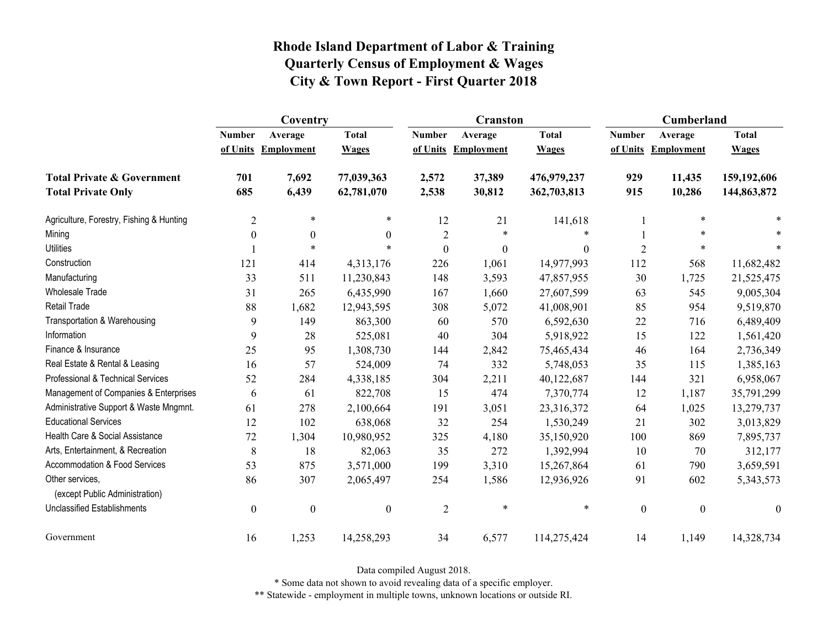|                                                   | Coventry         |                     |                  |                  | <b>Cranston</b>     |                  | <b>Cumberland</b> |                     |                  |
|---------------------------------------------------|------------------|---------------------|------------------|------------------|---------------------|------------------|-------------------|---------------------|------------------|
|                                                   | <b>Number</b>    | Average             | <b>Total</b>     | <b>Number</b>    | Average             | <b>Total</b>     | <b>Number</b>     | Average             | <b>Total</b>     |
|                                                   |                  | of Units Employment | <b>Wages</b>     |                  | of Units Employment | <b>Wages</b>     |                   | of Units Employment | <b>Wages</b>     |
| <b>Total Private &amp; Government</b>             | 701              | 7,692               | 77,039,363       | 2,572            | 37,389              | 476,979,237      | 929               | 11,435              | 159,192,606      |
| <b>Total Private Only</b>                         | 685              | 6,439               | 62,781,070       | 2,538            | 30,812              | 362,703,813      | 915               | 10,286              | 144,863,872      |
| Agriculture, Forestry, Fishing & Hunting          | $\overline{c}$   | $\ast$              | $\ast$           | 12               | 21                  | 141,618          |                   | $\ast$              |                  |
| Mining                                            | $\theta$         | $\boldsymbol{0}$    | $\theta$         | $\overline{2}$   | $\ast$              | *                |                   | *                   |                  |
| <b>Utilities</b>                                  |                  | $\ast$              | $\ast$           | $\boldsymbol{0}$ | $\boldsymbol{0}$    | $\boldsymbol{0}$ | $\overline{2}$    | $\ast$              |                  |
| Construction                                      | 121              | 414                 | 4,313,176        | 226              | 1,061               | 14,977,993       | 112               | 568                 | 11,682,482       |
| Manufacturing                                     | 33               | 511                 | 11,230,843       | 148              | 3,593               | 47,857,955       | 30                | 1,725               | 21,525,475       |
| <b>Wholesale Trade</b>                            | 31               | 265                 | 6,435,990        | 167              | 1,660               | 27,607,599       | 63                | 545                 | 9,005,304        |
| <b>Retail Trade</b>                               | 88               | 1,682               | 12,943,595       | 308              | 5,072               | 41,008,901       | 85                | 954                 | 9,519,870        |
| Transportation & Warehousing                      | 9                | 149                 | 863,300          | 60               | 570                 | 6,592,630        | 22                | 716                 | 6,489,409        |
| Information                                       | 9                | 28                  | 525,081          | 40               | 304                 | 5,918,922        | 15                | 122                 | 1,561,420        |
| Finance & Insurance                               | 25               | 95                  | 1,308,730        | 144              | 2,842               | 75,465,434       | 46                | 164                 | 2,736,349        |
| Real Estate & Rental & Leasing                    | 16               | 57                  | 524,009          | 74               | 332                 | 5,748,053        | 35                | 115                 | 1,385,163        |
| Professional & Technical Services                 | 52               | 284                 | 4,338,185        | 304              | 2,211               | 40,122,687       | 144               | 321                 | 6,958,067        |
| Management of Companies & Enterprises             | 6                | 61                  | 822,708          | 15               | 474                 | 7,370,774        | 12                | 1,187               | 35,791,299       |
| Administrative Support & Waste Mngmnt.            | 61               | 278                 | 2,100,664        | 191              | 3,051               | 23,316,372       | 64                | 1,025               | 13,279,737       |
| <b>Educational Services</b>                       | 12               | 102                 | 638,068          | 32               | 254                 | 1,530,249        | 21                | 302                 | 3,013,829        |
| Health Care & Social Assistance                   | 72               | 1,304               | 10,980,952       | 325              | 4,180               | 35,150,920       | 100               | 869                 | 7,895,737        |
| Arts, Entertainment, & Recreation                 | 8                | 18                  | 82,063           | 35               | 272                 | 1,392,994        | 10                | 70                  | 312,177          |
| <b>Accommodation &amp; Food Services</b>          | 53               | 875                 | 3,571,000        | 199              | 3,310               | 15,267,864       | 61                | 790                 | 3,659,591        |
| Other services,<br>(except Public Administration) | 86               | 307                 | 2,065,497        | 254              | 1,586               | 12,936,926       | 91                | 602                 | 5,343,573        |
| <b>Unclassified Establishments</b>                | $\boldsymbol{0}$ | $\boldsymbol{0}$    | $\boldsymbol{0}$ | $\overline{2}$   | $\ast$              | $\ast$           | $\boldsymbol{0}$  | $\boldsymbol{0}$    | $\boldsymbol{0}$ |
| Government                                        | 16               | 1,253               | 14,258,293       | 34               | 6,577               | 114,275,424      | 14                | 1,149               | 14,328,734       |

Data compiled August 2018.

\* Some data not shown to avoid revealing data of a specific employer.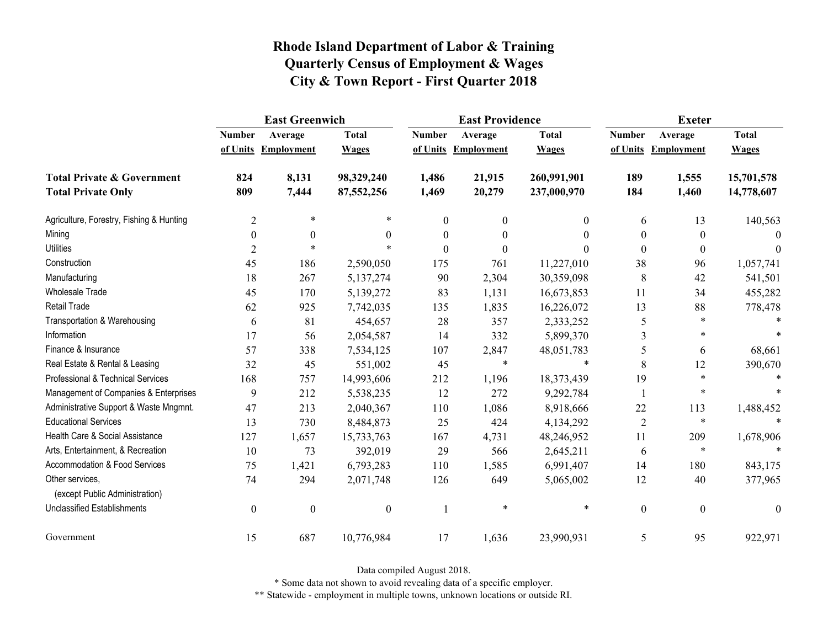|                                                   | <b>East Greenwich</b> |                     |                  |                  | <b>East Providence</b> |              | <b>Exeter</b>    |                     |              |
|---------------------------------------------------|-----------------------|---------------------|------------------|------------------|------------------------|--------------|------------------|---------------------|--------------|
|                                                   | <b>Number</b>         | Average             | <b>Total</b>     | <b>Number</b>    | Average                | <b>Total</b> | <b>Number</b>    | Average             | <b>Total</b> |
|                                                   |                       | of Units Employment | <b>Wages</b>     |                  | of Units Employment    | <b>Wages</b> |                  | of Units Employment | <b>Wages</b> |
| <b>Total Private &amp; Government</b>             | 824                   | 8,131               | 98,329,240       | 1,486            | 21,915                 | 260,991,901  | 189              | 1,555               | 15,701,578   |
| <b>Total Private Only</b>                         | 809                   | 7,444               | 87,552,256       | 1,469            | 20,279                 | 237,000,970  | 184              | 1,460               | 14,778,607   |
| Agriculture, Forestry, Fishing & Hunting          | $\overline{2}$        | $\ast$              |                  | $\mathbf{0}$     | $\boldsymbol{0}$       | 0            | 6                | 13                  | 140,563      |
| Mining                                            | $\boldsymbol{0}$      | $\theta$            | $\Omega$         | $\boldsymbol{0}$ | $\boldsymbol{0}$       | $\theta$     | $\boldsymbol{0}$ | $\theta$            | $\Omega$     |
| <b>Utilities</b>                                  | 2                     | $\ast$              |                  | $\theta$         | $\theta$               | 0            | $\boldsymbol{0}$ | $\theta$            | $\theta$     |
| Construction                                      | 45                    | 186                 | 2,590,050        | 175              | 761                    | 11,227,010   | 38               | 96                  | 1,057,741    |
| Manufacturing                                     | 18                    | 267                 | 5,137,274        | 90               | 2,304                  | 30,359,098   | 8                | 42                  | 541,501      |
| <b>Wholesale Trade</b>                            | 45                    | 170                 | 5,139,272        | 83               | 1,131                  | 16,673,853   | 11               | 34                  | 455,282      |
| <b>Retail Trade</b>                               | 62                    | 925                 | 7,742,035        | 135              | 1,835                  | 16,226,072   | 13               | 88                  | 778,478      |
| Transportation & Warehousing                      | 6                     | 81                  | 454,657          | 28               | 357                    | 2,333,252    | 5                | $\ast$              |              |
| Information                                       | 17                    | 56                  | 2,054,587        | 14               | 332                    | 5,899,370    | 3                | *                   |              |
| Finance & Insurance                               | 57                    | 338                 | 7,534,125        | 107              | 2,847                  | 48,051,783   | 5                | 6                   | 68,661       |
| Real Estate & Rental & Leasing                    | 32                    | 45                  | 551,002          | 45               | $\ast$                 | $\ast$       | 8                | 12                  | 390,670      |
| Professional & Technical Services                 | 168                   | 757                 | 14,993,606       | 212              | 1,196                  | 18,373,439   | 19               | $\ast$              |              |
| Management of Companies & Enterprises             | 9                     | 212                 | 5,538,235        | 12               | 272                    | 9,292,784    |                  | $\ast$              |              |
| Administrative Support & Waste Mngmnt.            | 47                    | 213                 | 2,040,367        | 110              | 1,086                  | 8,918,666    | 22               | 113                 | 1,488,452    |
| <b>Educational Services</b>                       | 13                    | 730                 | 8,484,873        | 25               | 424                    | 4,134,292    | $\overline{2}$   | $\ast$              |              |
| Health Care & Social Assistance                   | 127                   | 1,657               | 15,733,763       | 167              | 4,731                  | 48,246,952   | 11               | 209                 | 1,678,906    |
| Arts, Entertainment, & Recreation                 | 10                    | 73                  | 392,019          | 29               | 566                    | 2,645,211    | 6                | $\ast$              |              |
| <b>Accommodation &amp; Food Services</b>          | 75                    | 1,421               | 6,793,283        | 110              | 1,585                  | 6,991,407    | 14               | 180                 | 843,175      |
| Other services,<br>(except Public Administration) | 74                    | 294                 | 2,071,748        | 126              | 649                    | 5,065,002    | 12               | 40                  | 377,965      |
| <b>Unclassified Establishments</b>                | $\boldsymbol{0}$      | $\boldsymbol{0}$    | $\boldsymbol{0}$ |                  | $\ast$                 | $\ast$       | $\boldsymbol{0}$ | $\boldsymbol{0}$    | $\theta$     |
| Government                                        | 15                    | 687                 | 10,776,984       | 17               | 1,636                  | 23,990,931   | 5                | 95                  | 922,971      |

Data compiled August 2018.

\* Some data not shown to avoid revealing data of a specific employer.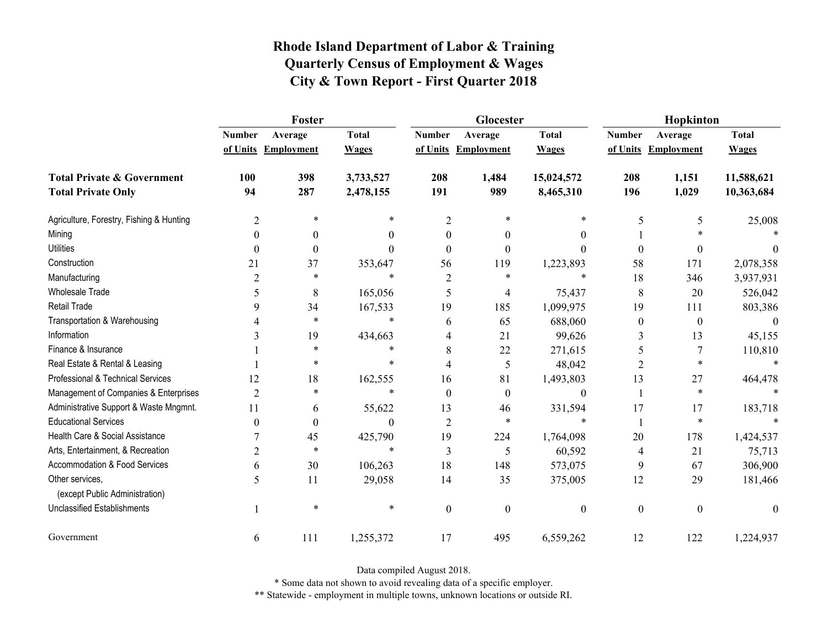|                                                   | Foster         |                     |              |                          | Glocester                |                  | Hopkinton        |                     |              |
|---------------------------------------------------|----------------|---------------------|--------------|--------------------------|--------------------------|------------------|------------------|---------------------|--------------|
|                                                   | <b>Number</b>  | Average             | <b>Total</b> | <b>Number</b>            | Average                  | <b>Total</b>     | <b>Number</b>    | Average             | <b>Total</b> |
|                                                   |                | of Units Employment | <b>Wages</b> |                          | of Units Employment      | <b>Wages</b>     |                  | of Units Employment | <b>Wages</b> |
| <b>Total Private &amp; Government</b>             | 100            | 398                 | 3,733,527    | 208                      | 1,484                    | 15,024,572       | 208              | 1,151               | 11,588,621   |
| <b>Total Private Only</b>                         | 94             | 287                 | 2,478,155    | 191                      | 989                      | 8,465,310        | 196              | 1,029               | 10,363,684   |
| Agriculture, Forestry, Fishing & Hunting          | $\overline{2}$ | $\ast$              | *            | $\overline{2}$           | 米                        | *                | 5                | 5                   | 25,008       |
| Mining                                            | 0              | $\theta$            | 0            | $\theta$                 | $\theta$                 | $\theta$         |                  |                     |              |
| <b>Utilities</b>                                  | $\theta$       | $\mathbf{0}$        | $\Omega$     | $\Omega$                 | $\Omega$                 | $\theta$         | $\theta$         | $\boldsymbol{0}$    |              |
| Construction                                      | 21             | 37                  | 353,647      | 56                       | 119                      | 1,223,893        | 58               | 171                 | 2,078,358    |
| Manufacturing                                     | $\overline{2}$ | $\ast$              | $\ast$       | $\overline{2}$           | $\ast$                   | $\ast$           | 18               | 346                 | 3,937,931    |
| <b>Wholesale Trade</b>                            | 5              | 8                   | 165,056      | 5                        | $\overline{\mathcal{A}}$ | 75,437           | 8                | 20                  | 526,042      |
| Retail Trade                                      | 9              | 34                  | 167,533      | 19                       | 185                      | 1,099,975        | 19               | 111                 | 803,386      |
| Transportation & Warehousing                      | 4              | $\ast$              | $\ast$       | 6                        | 65                       | 688,060          | $\boldsymbol{0}$ | $\boldsymbol{0}$    | $\theta$     |
| Information                                       | 3              | 19                  | 434,663      | 4                        | 21                       | 99,626           | 3                | 13                  | 45,155       |
| Finance & Insurance                               |                | $\ast$              | $^{\ast}$    | 8                        | 22                       | 271,615          | 5                | 7                   | 110,810      |
| Real Estate & Rental & Leasing                    |                | *                   | $\ast$       | $\overline{\mathcal{A}}$ | 5                        | 48,042           | 2                | $\ast$              |              |
| Professional & Technical Services                 | 12             | 18                  | 162,555      | 16                       | 81                       | 1,493,803        | 13               | 27                  | 464,478      |
| Management of Companies & Enterprises             | $\overline{2}$ | $\ast$              | $\ast$       | $\Omega$                 | $\theta$                 | $\boldsymbol{0}$ | $\mathbf{1}$     | $\ast$              |              |
| Administrative Support & Waste Mngmnt.            | 11             | 6                   | 55,622       | 13                       | 46                       | 331,594          | 17               | 17                  | 183,718      |
| <b>Educational Services</b>                       | 0              | $\boldsymbol{0}$    | 0            | $\overline{2}$           | $\ast$                   | $\ast$           |                  | $\ast$              |              |
| Health Care & Social Assistance                   |                | 45                  | 425,790      | 19                       | 224                      | 1,764,098        | 20               | 178                 | 1,424,537    |
| Arts, Entertainment, & Recreation                 | $\overline{2}$ | $\ast$              | $\ast$       | $\overline{3}$           | 5                        | 60,592           | 4                | 21                  | 75,713       |
| Accommodation & Food Services                     | 6              | 30                  | 106,263      | 18                       | 148                      | 573,075          | 9                | 67                  | 306,900      |
| Other services,<br>(except Public Administration) | 5              | 11                  | 29,058       | 14                       | 35                       | 375,005          | 12               | 29                  | 181,466      |
| <b>Unclassified Establishments</b>                |                | $\ast$              | $\ast$       | $\mathbf{0}$             | $\boldsymbol{0}$         | $\boldsymbol{0}$ | $\boldsymbol{0}$ | $\boldsymbol{0}$    | $\theta$     |
| Government                                        | 6              | 111                 | 1,255,372    | 17                       | 495                      | 6,559,262        | 12               | 122                 | 1,224,937    |

Data compiled August 2018.

\* Some data not shown to avoid revealing data of a specific employer.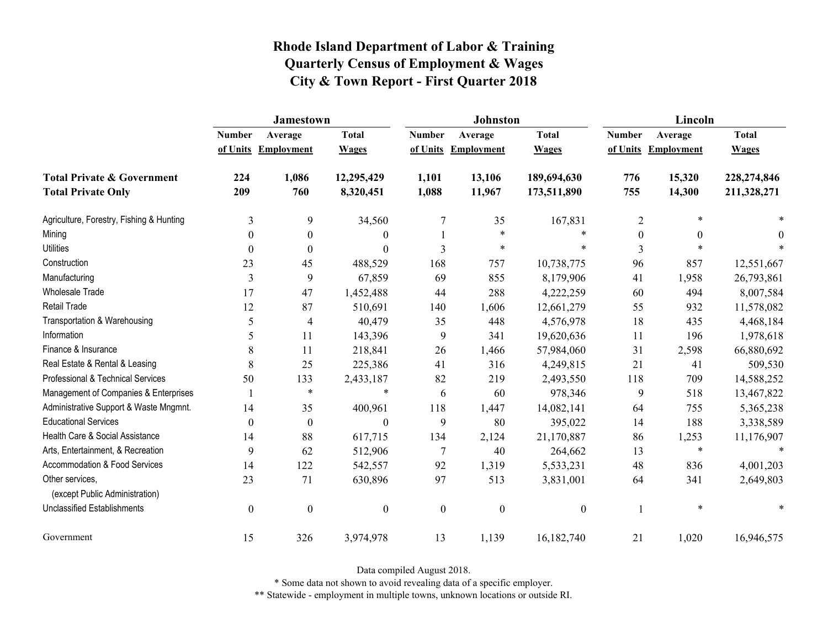|                                                   | <b>Jamestown</b> |                     |                  |                  | <b>Johnston</b>   |                  | Lincoln          |                     |              |
|---------------------------------------------------|------------------|---------------------|------------------|------------------|-------------------|------------------|------------------|---------------------|--------------|
|                                                   | <b>Number</b>    | Average             | <b>Total</b>     | <b>Number</b>    | Average           | <b>Total</b>     | <b>Number</b>    | Average             | <b>Total</b> |
|                                                   |                  | of Units Employment | <b>Wages</b>     | of Units         | <b>Employment</b> | <b>Wages</b>     |                  | of Units Employment | <b>Wages</b> |
| <b>Total Private &amp; Government</b>             | 224              | 1,086               | 12,295,429       | 1,101            | 13,106            | 189,694,630      | 776              | 15,320              | 228,274,846  |
| <b>Total Private Only</b>                         | 209              | 760                 | 8,320,451        | 1,088            | 11,967            | 173,511,890      | 755              | 14,300              | 211,328,271  |
| Agriculture, Forestry, Fishing & Hunting          | 3                | 9                   | 34,560           | 7                | 35                | 167,831          | $\overline{2}$   | $\ast$              |              |
| Mining                                            | $\theta$         | $\mathbf{0}$        | $\boldsymbol{0}$ |                  | $\ast$            | $\ast$           | $\boldsymbol{0}$ | $\mathbf{0}$        | 0            |
| <b>Utilities</b>                                  | $\theta$         | $\theta$            | $\boldsymbol{0}$ | 3                | $\ast$            | *                | 3                | $\ast$              |              |
| Construction                                      | 23               | 45                  | 488,529          | 168              | 757               | 10,738,775       | 96               | 857                 | 12,551,667   |
| Manufacturing                                     | $\overline{3}$   | 9                   | 67,859           | 69               | 855               | 8,179,906        | 41               | 1,958               | 26,793,861   |
| <b>Wholesale Trade</b>                            | 17               | 47                  | 1,452,488        | 44               | 288               | 4,222,259        | 60               | 494                 | 8,007,584    |
| Retail Trade                                      | 12               | 87                  | 510,691          | 140              | 1,606             | 12,661,279       | 55               | 932                 | 11,578,082   |
| Transportation & Warehousing                      | 5                | $\overline{4}$      | 40,479           | 35               | 448               | 4,576,978        | 18               | 435                 | 4,468,184    |
| Information                                       | 5                | 11                  | 143,396          | 9                | 341               | 19,620,636       | 11               | 196                 | 1,978,618    |
| Finance & Insurance                               | 8                | 11                  | 218,841          | 26               | 1,466             | 57,984,060       | 31               | 2,598               | 66,880,692   |
| Real Estate & Rental & Leasing                    | 8                | 25                  | 225,386          | 41               | 316               | 4,249,815        | 21               | 41                  | 509,530      |
| Professional & Technical Services                 | 50               | 133                 | 2,433,187        | 82               | 219               | 2,493,550        | 118              | 709                 | 14,588,252   |
| Management of Companies & Enterprises             |                  | $\ast$              | $\ast$           | 6                | 60                | 978,346          | 9                | 518                 | 13,467,822   |
| Administrative Support & Waste Mngmnt.            | 14               | 35                  | 400,961          | 118              | 1,447             | 14,082,141       | 64               | 755                 | 5,365,238    |
| <b>Educational Services</b>                       | $\theta$         | $\theta$            | $\theta$         | 9                | 80                | 395,022          | 14               | 188                 | 3,338,589    |
| Health Care & Social Assistance                   | 14               | 88                  | 617,715          | 134              | 2,124             | 21,170,887       | 86               | 1,253               | 11,176,907   |
| Arts, Entertainment, & Recreation                 | 9                | 62                  | 512,906          | $\overline{7}$   | 40                | 264,662          | 13               | $\ast$              | $\ast$       |
| <b>Accommodation &amp; Food Services</b>          | 14               | 122                 | 542,557          | 92               | 1,319             | 5,533,231        | 48               | 836                 | 4,001,203    |
| Other services,<br>(except Public Administration) | 23               | 71                  | 630,896          | 97               | 513               | 3,831,001        | 64               | 341                 | 2,649,803    |
| <b>Unclassified Establishments</b>                | $\boldsymbol{0}$ | $\boldsymbol{0}$    | $\boldsymbol{0}$ | $\boldsymbol{0}$ | $\boldsymbol{0}$  | $\boldsymbol{0}$ |                  | $\ast$              |              |
| Government                                        | 15               | 326                 | 3,974,978        | 13               | 1,139             | 16,182,740       | 21               | 1,020               | 16,946,575   |

Data compiled August 2018.

\* Some data not shown to avoid revealing data of a specific employer.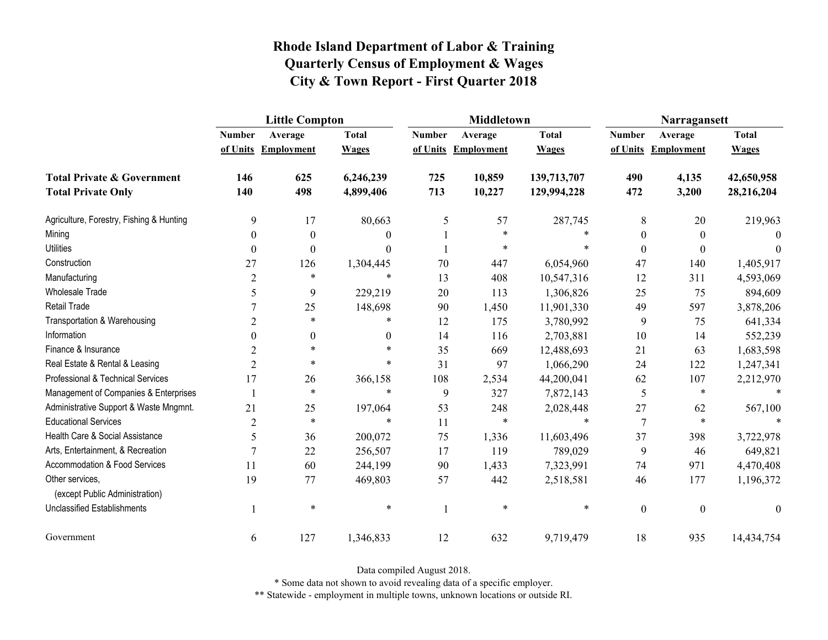|                                                   | <b>Little Compton</b> |                   |              |               | <b>Middletown</b>   |              | Narragansett     |                     |              |
|---------------------------------------------------|-----------------------|-------------------|--------------|---------------|---------------------|--------------|------------------|---------------------|--------------|
|                                                   | <b>Number</b>         | Average           | <b>Total</b> | <b>Number</b> | Average             | <b>Total</b> | <b>Number</b>    | Average             | <b>Total</b> |
|                                                   | of Units              | <b>Employment</b> | <b>Wages</b> |               | of Units Employment | <b>Wages</b> |                  | of Units Employment | <b>Wages</b> |
| <b>Total Private &amp; Government</b>             | 146                   | 625               | 6,246,239    | 725           | 10,859              | 139,713,707  | 490              | 4,135               | 42,650,958   |
| <b>Total Private Only</b>                         | 140                   | 498               | 4,899,406    | 713           | 10,227              | 129,994,228  | 472              | 3,200               | 28,216,204   |
| Agriculture, Forestry, Fishing & Hunting          | 9                     | 17                | 80,663       | 5             | 57                  | 287,745      | 8                | 20                  | 219,963      |
| Mining                                            | $\boldsymbol{0}$      | $\boldsymbol{0}$  | $\Omega$     |               | $\ast$              |              | $\boldsymbol{0}$ | $\theta$            | $\Omega$     |
| <b>Utilities</b>                                  | $\theta$              | $\theta$          | $\Omega$     |               | $\ast$              |              | $\boldsymbol{0}$ | $\theta$            | $\theta$     |
| Construction                                      | 27                    | 126               | 1,304,445    | 70            | 447                 | 6,054,960    | 47               | 140                 | 1,405,917    |
| Manufacturing                                     | $\overline{2}$        | $\ast$            | $\ast$       | 13            | 408                 | 10,547,316   | 12               | 311                 | 4,593,069    |
| Wholesale Trade                                   | 5                     | 9                 | 229,219      | 20            | 113                 | 1,306,826    | 25               | 75                  | 894,609      |
| Retail Trade                                      |                       | 25                | 148,698      | 90            | 1,450               | 11,901,330   | 49               | 597                 | 3,878,206    |
| Transportation & Warehousing                      | $\overline{2}$        | $\ast$            | $\ast$       | 12            | 175                 | 3,780,992    | $\boldsymbol{9}$ | 75                  | 641,334      |
| Information                                       | $\theta$              | $\mathbf{0}$      | $\theta$     | 14            | 116                 | 2,703,881    | 10               | 14                  | 552,239      |
| Finance & Insurance                               | $\overline{2}$        | $\ast$            |              | 35            | 669                 | 12,488,693   | 21               | 63                  | 1,683,598    |
| Real Estate & Rental & Leasing                    | $\overline{2}$        | $\ast$            | *            | 31            | 97                  | 1,066,290    | 24               | 122                 | 1,247,341    |
| Professional & Technical Services                 | 17                    | 26                | 366,158      | 108           | 2,534               | 44,200,041   | 62               | 107                 | 2,212,970    |
| Management of Companies & Enterprises             |                       | $\ast$            | $\ast$       | 9             | 327                 | 7,872,143    | 5                | $\ast$              | $\ast$       |
| Administrative Support & Waste Mngmnt.            | 21                    | 25                | 197,064      | 53            | 248                 | 2,028,448    | 27               | 62                  | 567,100      |
| <b>Educational Services</b>                       | $\overline{2}$        | $\ast$            | $\ast$       | 11            | $\ast$              | $\ast$       | 7                | $\ast$              |              |
| Health Care & Social Assistance                   | 5                     | 36                | 200,072      | 75            | 1,336               | 11,603,496   | 37               | 398                 | 3,722,978    |
| Arts, Entertainment, & Recreation                 | 7                     | 22                | 256,507      | 17            | 119                 | 789,029      | 9                | 46                  | 649,821      |
| <b>Accommodation &amp; Food Services</b>          | 11                    | 60                | 244,199      | 90            | 1,433               | 7,323,991    | 74               | 971                 | 4,470,408    |
| Other services,<br>(except Public Administration) | 19                    | 77                | 469,803      | 57            | 442                 | 2,518,581    | 46               | 177                 | 1,196,372    |
| <b>Unclassified Establishments</b>                |                       | $\ast$            | $\ast$       |               | $\ast$              | $\ast$       | $\boldsymbol{0}$ | $\boldsymbol{0}$    | $\theta$     |
| Government                                        | 6                     | 127               | 1,346,833    | 12            | 632                 | 9,719,479    | 18               | 935                 | 14,434,754   |

Data compiled August 2018.

\* Some data not shown to avoid revealing data of a specific employer.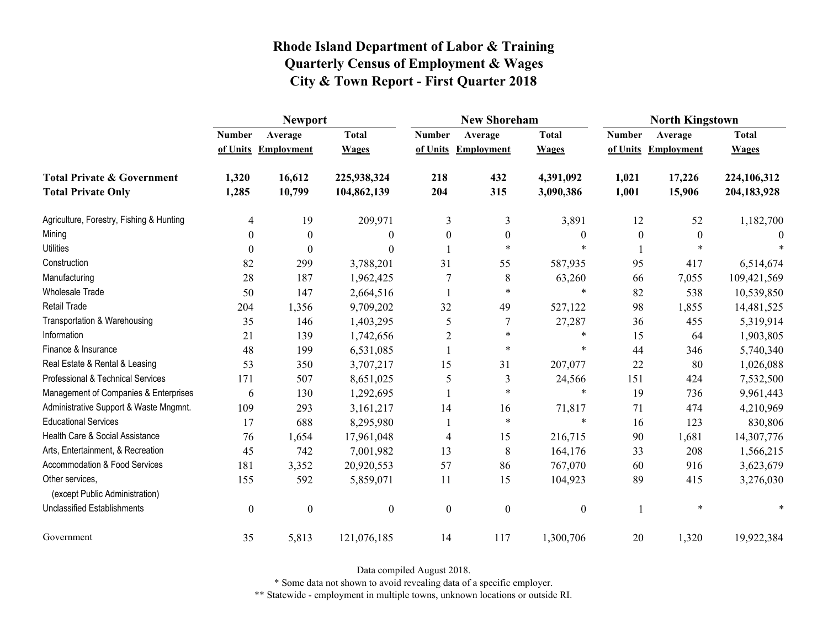|                                                   | <b>Newport</b>   |                     |                  |                  | <b>New Shoreham</b> |                  | <b>North Kingstown</b> |                     |              |
|---------------------------------------------------|------------------|---------------------|------------------|------------------|---------------------|------------------|------------------------|---------------------|--------------|
|                                                   | <b>Number</b>    | Average             | <b>Total</b>     | <b>Number</b>    | Average             | <b>Total</b>     | <b>Number</b>          | Average             | <b>Total</b> |
|                                                   |                  | of Units Employment | <b>Wages</b>     |                  | of Units Employment | <b>Wages</b>     |                        | of Units Employment | <b>Wages</b> |
| <b>Total Private &amp; Government</b>             | 1,320            | 16,612              | 225,938,324      | 218              | 432                 | 4,391,092        | 1,021                  | 17,226              | 224,106,312  |
| <b>Total Private Only</b>                         | 1,285            | 10,799              | 104,862,139      | 204              | 315                 | 3,090,386        | 1,001                  | 15,906              | 204,183,928  |
| Agriculture, Forestry, Fishing & Hunting          | 4                | 19                  | 209,971          | 3                | 3                   | 3,891            | 12                     | 52                  | 1,182,700    |
| Mining                                            | 0                | $\boldsymbol{0}$    | $\theta$         | $\boldsymbol{0}$ | $\boldsymbol{0}$    | $\boldsymbol{0}$ | $\boldsymbol{0}$       | $\boldsymbol{0}$    |              |
| <b>Utilities</b>                                  | 0                | $\theta$            | $\theta$         |                  | $\ast$              | $\ast$           |                        | $\ast$              |              |
| Construction                                      | 82               | 299                 | 3,788,201        | 31               | 55                  | 587,935          | 95                     | 417                 | 6,514,674    |
| Manufacturing                                     | 28               | 187                 | 1,962,425        |                  | 8                   | 63,260           | 66                     | 7,055               | 109,421,569  |
| <b>Wholesale Trade</b>                            | 50               | 147                 | 2,664,516        |                  | $\ast$              | $\ast$           | 82                     | 538                 | 10,539,850   |
| <b>Retail Trade</b>                               | 204              | 1,356               | 9,709,202        | 32               | 49                  | 527,122          | 98                     | 1,855               | 14,481,525   |
| Transportation & Warehousing                      | 35               | 146                 | 1,403,295        | 5                | 7                   | 27,287           | 36                     | 455                 | 5,319,914    |
| Information                                       | 21               | 139                 | 1,742,656        | $\overline{2}$   | $\ast$              | $\ast$           | 15                     | 64                  | 1,903,805    |
| Finance & Insurance                               | 48               | 199                 | 6,531,085        |                  | $\ast$              | $\ast$           | 44                     | 346                 | 5,740,340    |
| Real Estate & Rental & Leasing                    | 53               | 350                 | 3,707,217        | 15               | 31                  | 207,077          | 22                     | 80                  | 1,026,088    |
| Professional & Technical Services                 | 171              | 507                 | 8,651,025        | 5                | 3                   | 24,566           | 151                    | 424                 | 7,532,500    |
| Management of Companies & Enterprises             | 6                | 130                 | 1,292,695        | $\mathbf{1}$     | $\ast$              | $\ast$           | 19                     | 736                 | 9,961,443    |
| Administrative Support & Waste Mngmnt.            | 109              | 293                 | 3,161,217        | 14               | 16                  | 71,817           | 71                     | 474                 | 4,210,969    |
| <b>Educational Services</b>                       | 17               | 688                 | 8,295,980        |                  | $\ast$              | $\ast$           | 16                     | 123                 | 830,806      |
| Health Care & Social Assistance                   | 76               | 1,654               | 17,961,048       | $\overline{4}$   | 15                  | 216,715          | 90                     | 1,681               | 14,307,776   |
| Arts, Entertainment, & Recreation                 | 45               | 742                 | 7,001,982        | 13               | 8                   | 164,176          | 33                     | 208                 | 1,566,215    |
| Accommodation & Food Services                     | 181              | 3,352               | 20,920,553       | 57               | 86                  | 767,070          | 60                     | 916                 | 3,623,679    |
| Other services,<br>(except Public Administration) | 155              | 592                 | 5,859,071        | 11               | 15                  | 104,923          | 89                     | 415                 | 3,276,030    |
| <b>Unclassified Establishments</b>                | $\boldsymbol{0}$ | $\boldsymbol{0}$    | $\boldsymbol{0}$ | $\boldsymbol{0}$ | $\boldsymbol{0}$    | $\boldsymbol{0}$ |                        | $\ast$              | $\ast$       |
| Government                                        | 35               | 5,813               | 121,076,185      | 14               | 117                 | 1,300,706        | 20                     | 1,320               | 19,922,384   |

Data compiled August 2018.

\* Some data not shown to avoid revealing data of a specific employer.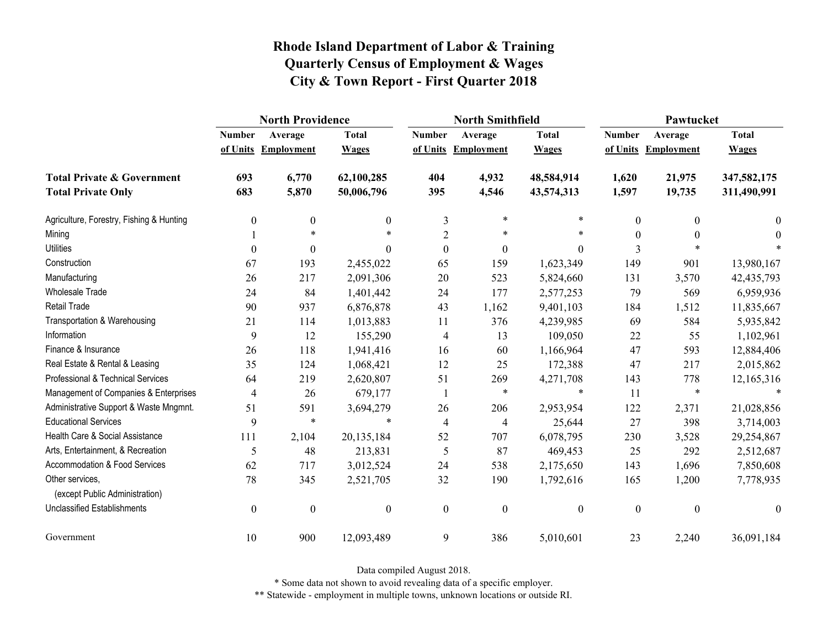|                                                   | <b>North Providence</b> |                     |                  |                  | <b>North Smithfield</b> |                  | Pawtucket     |                     |                  |
|---------------------------------------------------|-------------------------|---------------------|------------------|------------------|-------------------------|------------------|---------------|---------------------|------------------|
|                                                   | <b>Number</b>           | Average             | <b>Total</b>     | <b>Number</b>    | Average                 | <b>Total</b>     | <b>Number</b> | Average             | <b>Total</b>     |
|                                                   |                         | of Units Employment | <b>Wages</b>     |                  | of Units Employment     | <b>Wages</b>     |               | of Units Employment | <b>Wages</b>     |
| <b>Total Private &amp; Government</b>             | 693                     | 6,770               | 62,100,285       | 404              | 4,932                   | 48,584,914       | 1,620         | 21,975              | 347,582,175      |
| <b>Total Private Only</b>                         | 683                     | 5,870               | 50,006,796       | 395              | 4,546                   | 43,574,313       | 1,597         | 19,735              | 311,490,991      |
| Agriculture, Forestry, Fishing & Hunting          | $\boldsymbol{0}$        | 0                   | $\mathbf{0}$     | 3                | $\ast$                  | $\ast$           | $\theta$      | $\boldsymbol{0}$    | $\bf{0}$         |
| Mining                                            |                         | $\ast$              |                  | $\overline{2}$   | $\ast$                  | $\ast$           | $\theta$      | $\theta$            | $\theta$         |
| <b>Utilities</b>                                  | $\theta$                | $\theta$            | $\Omega$         | $\boldsymbol{0}$ | $\boldsymbol{0}$        | $\theta$         | 3             |                     |                  |
| Construction                                      | 67                      | 193                 | 2,455,022        | 65               | 159                     | 1,623,349        | 149           | 901                 | 13,980,167       |
| Manufacturing                                     | 26                      | 217                 | 2,091,306        | 20               | 523                     | 5,824,660        | 131           | 3,570               | 42, 435, 793     |
| <b>Wholesale Trade</b>                            | 24                      | 84                  | 1,401,442        | 24               | 177                     | 2,577,253        | 79            | 569                 | 6,959,936        |
| <b>Retail Trade</b>                               | 90                      | 937                 | 6,876,878        | 43               | 1,162                   | 9,401,103        | 184           | 1,512               | 11,835,667       |
| Transportation & Warehousing                      | 21                      | 114                 | 1,013,883        | 11               | 376                     | 4,239,985        | 69            | 584                 | 5,935,842        |
| Information                                       | 9                       | 12                  | 155,290          | 4                | 13                      | 109,050          | 22            | 55                  | 1,102,961        |
| Finance & Insurance                               | 26                      | 118                 | 1,941,416        | 16               | 60                      | 1,166,964        | 47            | 593                 | 12,884,406       |
| Real Estate & Rental & Leasing                    | 35                      | 124                 | 1,068,421        | 12               | 25                      | 172,388          | 47            | 217                 | 2,015,862        |
| Professional & Technical Services                 | 64                      | 219                 | 2,620,807        | 51               | 269                     | 4,271,708        | 143           | 778                 | 12,165,316       |
| Management of Companies & Enterprises             | $\overline{4}$          | 26                  | 679,177          |                  | $\ast$                  | $\ast$           | 11            | $\ast$              |                  |
| Administrative Support & Waste Mngmnt.            | 51                      | 591                 | 3,694,279        | 26               | 206                     | 2,953,954        | 122           | 2,371               | 21,028,856       |
| <b>Educational Services</b>                       | 9                       | $\ast$              | $\ast$           | $\overline{4}$   | 4                       | 25,644           | 27            | 398                 | 3,714,003        |
| Health Care & Social Assistance                   | 111                     | 2,104               | 20,135,184       | 52               | 707                     | 6,078,795        | 230           | 3,528               | 29,254,867       |
| Arts, Entertainment, & Recreation                 | 5                       | 48                  | 213,831          | 5                | 87                      | 469,453          | 25            | 292                 | 2,512,687        |
| Accommodation & Food Services                     | 62                      | 717                 | 3,012,524        | 24               | 538                     | 2,175,650        | 143           | 1,696               | 7,850,608        |
| Other services,<br>(except Public Administration) | 78                      | 345                 | 2,521,705        | 32               | 190                     | 1,792,616        | 165           | 1,200               | 7,778,935        |
| <b>Unclassified Establishments</b>                | $\boldsymbol{0}$        | $\boldsymbol{0}$    | $\boldsymbol{0}$ | $\boldsymbol{0}$ | $\boldsymbol{0}$        | $\boldsymbol{0}$ | $\mathbf{0}$  | $\boldsymbol{0}$    | $\boldsymbol{0}$ |
| Government                                        | 10                      | 900                 | 12,093,489       | 9                | 386                     | 5,010,601        | 23            | 2,240               | 36,091,184       |

Data compiled August 2018.

\* Some data not shown to avoid revealing data of a specific employer.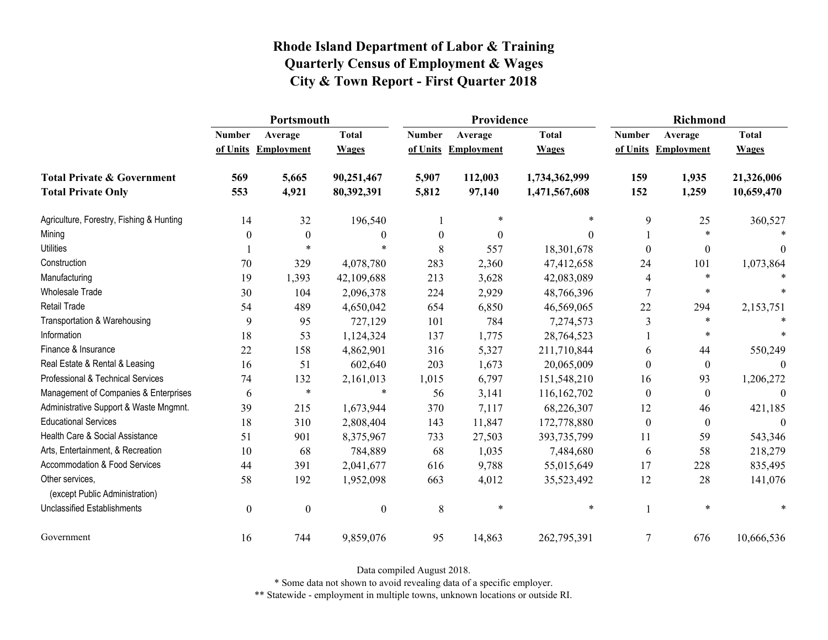|                                                   | Portsmouth       |                     |                  |               | Providence          |               | <b>Richmond</b> |                     |              |
|---------------------------------------------------|------------------|---------------------|------------------|---------------|---------------------|---------------|-----------------|---------------------|--------------|
|                                                   | <b>Number</b>    | Average             | <b>Total</b>     | <b>Number</b> | Average             | <b>Total</b>  | <b>Number</b>   | Average             | <b>Total</b> |
|                                                   |                  | of Units Employment | <b>Wages</b>     |               | of Units Employment | <b>Wages</b>  |                 | of Units Employment | <b>Wages</b> |
| <b>Total Private &amp; Government</b>             | 569              | 5,665               | 90,251,467       | 5,907         | 112,003             | 1,734,362,999 | 159             | 1,935               | 21,326,006   |
| <b>Total Private Only</b>                         | 553              | 4,921               | 80,392,391       | 5,812         | 97,140              | 1,471,567,608 | 152             | 1,259               | 10,659,470   |
| Agriculture, Forestry, Fishing & Hunting          | 14               | 32                  | 196,540          |               |                     |               | 9               | 25                  | 360,527      |
| Mining                                            | $\boldsymbol{0}$ | $\boldsymbol{0}$    | $\boldsymbol{0}$ | 0             | $\theta$            | $\Omega$      |                 | $\ast$              |              |
| <b>Utilities</b>                                  |                  |                     |                  | 8             | 557                 | 18,301,678    | 0               | $\mathbf{0}$        | $\Omega$     |
| Construction                                      | 70               | 329                 | 4,078,780        | 283           | 2,360               | 47,412,658    | 24              | 101                 | 1,073,864    |
| Manufacturing                                     | 19               | 1,393               | 42,109,688       | 213           | 3,628               | 42,083,089    | 4               | $\ast$              |              |
| Wholesale Trade                                   | 30               | 104                 | 2,096,378        | 224           | 2,929               | 48,766,396    | 7               | $\ast$              |              |
| <b>Retail Trade</b>                               | 54               | 489                 | 4,650,042        | 654           | 6,850               | 46,569,065    | 22              | 294                 | 2,153,751    |
| Transportation & Warehousing                      | 9                | 95                  | 727,129          | 101           | 784                 | 7,274,573     | $\mathfrak{Z}$  | $\ast$              |              |
| Information                                       | 18               | 53                  | 1,124,324        | 137           | 1,775               | 28,764,523    |                 | $\ast$              |              |
| Finance & Insurance                               | 22               | 158                 | 4,862,901        | 316           | 5,327               | 211,710,844   | 6               | 44                  | 550,249      |
| Real Estate & Rental & Leasing                    | 16               | 51                  | 602,640          | 203           | 1,673               | 20,065,009    | $\Omega$        | $\mathbf{0}$        |              |
| Professional & Technical Services                 | 74               | 132                 | 2,161,013        | 1,015         | 6,797               | 151,548,210   | 16              | 93                  | 1,206,272    |
| Management of Companies & Enterprises             | 6                | $\ast$              | $\ast$           | 56            | 3,141               | 116, 162, 702 | $\theta$        | $\boldsymbol{0}$    | $\theta$     |
| Administrative Support & Waste Mngmnt.            | 39               | 215                 | 1,673,944        | 370           | 7,117               | 68,226,307    | 12              | 46                  | 421,185      |
| <b>Educational Services</b>                       | 18               | 310                 | 2,808,404        | 143           | 11,847              | 172,778,880   | $\theta$        | $\mathbf{0}$        | $\Omega$     |
| Health Care & Social Assistance                   | 51               | 901                 | 8,375,967        | 733           | 27,503              | 393,735,799   | 11              | 59                  | 543,346      |
| Arts, Entertainment, & Recreation                 | 10               | 68                  | 784,889          | 68            | 1,035               | 7,484,680     | 6               | 58                  | 218,279      |
| <b>Accommodation &amp; Food Services</b>          | 44               | 391                 | 2,041,677        | 616           | 9,788               | 55,015,649    | 17              | 228                 | 835,495      |
| Other services,<br>(except Public Administration) | 58               | 192                 | 1,952,098        | 663           | 4,012               | 35,523,492    | 12              | 28                  | 141,076      |
| <b>Unclassified Establishments</b>                | $\boldsymbol{0}$ | $\boldsymbol{0}$    | $\boldsymbol{0}$ | $\,$ 8 $\,$   | $\ast$              | $\ast$        |                 | $\ast$              |              |
| Government                                        | 16               | 744                 | 9,859,076        | 95            | 14,863              | 262,795,391   | 7               | 676                 | 10,666,536   |

Data compiled August 2018.

\* Some data not shown to avoid revealing data of a specific employer.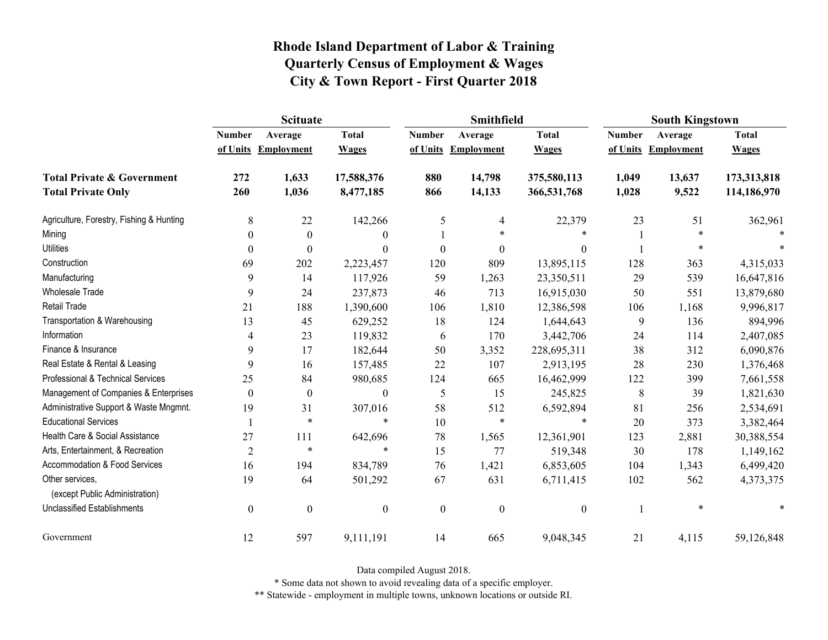|                                                   | <b>Scituate</b>  |                     |                  |                  | <b>Smithfield</b> |                  | <b>South Kingstown</b> |                     |              |
|---------------------------------------------------|------------------|---------------------|------------------|------------------|-------------------|------------------|------------------------|---------------------|--------------|
|                                                   | <b>Number</b>    | Average             | <b>Total</b>     | <b>Number</b>    | Average           | <b>Total</b>     | <b>Number</b>          | Average             | <b>Total</b> |
|                                                   |                  | of Units Employment | <b>Wages</b>     | of Units         | <b>Employment</b> | <b>Wages</b>     |                        | of Units Employment | <b>Wages</b> |
| <b>Total Private &amp; Government</b>             | 272              | 1,633               | 17,588,376       | 880              | 14,798            | 375,580,113      | 1,049                  | 13,637              | 173,313,818  |
| <b>Total Private Only</b>                         | 260              | 1,036               | 8,477,185        | 866              | 14,133            | 366,531,768      | 1,028                  | 9,522               | 114,186,970  |
| Agriculture, Forestry, Fishing & Hunting          | 8                | 22                  | 142,266          | 5                | $\overline{4}$    | 22,379           | 23                     | 51                  | 362,961      |
| Mining                                            | 0                | $\boldsymbol{0}$    | $\boldsymbol{0}$ |                  | $\ast$            | $\ast$           |                        |                     |              |
| <b>Utilities</b>                                  | $\theta$         | $\theta$            | $\boldsymbol{0}$ | $\boldsymbol{0}$ | $\theta$          | $\boldsymbol{0}$ |                        | *                   |              |
| Construction                                      | 69               | 202                 | 2,223,457        | 120              | 809               | 13,895,115       | 128                    | 363                 | 4,315,033    |
| Manufacturing                                     | 9                | 14                  | 117,926          | 59               | 1,263             | 23,350,511       | 29                     | 539                 | 16,647,816   |
| <b>Wholesale Trade</b>                            | 9                | 24                  | 237,873          | 46               | 713               | 16,915,030       | 50                     | 551                 | 13,879,680   |
| Retail Trade                                      | 21               | 188                 | 1,390,600        | 106              | 1,810             | 12,386,598       | 106                    | 1,168               | 9,996,817    |
| Transportation & Warehousing                      | 13               | 45                  | 629,252          | 18               | 124               | 1,644,643        | 9                      | 136                 | 894,996      |
| Information                                       | 4                | 23                  | 119,832          | 6                | 170               | 3,442,706        | 24                     | 114                 | 2,407,085    |
| Finance & Insurance                               | 9                | 17                  | 182,644          | 50               | 3,352             | 228,695,311      | 38                     | 312                 | 6,090,876    |
| Real Estate & Rental & Leasing                    | 9                | 16                  | 157,485          | 22               | 107               | 2,913,195        | 28                     | 230                 | 1,376,468    |
| Professional & Technical Services                 | 25               | 84                  | 980,685          | 124              | 665               | 16,462,999       | 122                    | 399                 | 7,661,558    |
| Management of Companies & Enterprises             | $\theta$         | $\boldsymbol{0}$    | $\boldsymbol{0}$ | 5                | 15                | 245,825          | 8                      | 39                  | 1,821,630    |
| Administrative Support & Waste Mngmnt.            | 19               | 31                  | 307,016          | 58               | 512               | 6,592,894        | 81                     | 256                 | 2,534,691    |
| <b>Educational Services</b>                       |                  | $\ast$              | $\ast$           | 10               | $\ast$            | $\ast$           | 20                     | 373                 | 3,382,464    |
| Health Care & Social Assistance                   | 27               | 111                 | 642,696          | 78               | 1,565             | 12,361,901       | 123                    | 2,881               | 30,388,554   |
| Arts, Entertainment, & Recreation                 | $\overline{2}$   | $\ast$              | $\ast$           | 15               | 77                | 519,348          | 30                     | 178                 | 1,149,162    |
| <b>Accommodation &amp; Food Services</b>          | 16               | 194                 | 834,789          | 76               | 1,421             | 6,853,605        | 104                    | 1,343               | 6,499,420    |
| Other services,<br>(except Public Administration) | 19               | 64                  | 501,292          | 67               | 631               | 6,711,415        | 102                    | 562                 | 4,373,375    |
| <b>Unclassified Establishments</b>                | $\boldsymbol{0}$ | $\boldsymbol{0}$    | $\boldsymbol{0}$ | $\boldsymbol{0}$ | $\boldsymbol{0}$  | $\boldsymbol{0}$ |                        | $\ast$              |              |
| Government                                        | 12               | 597                 | 9,111,191        | 14               | 665               | 9,048,345        | 21                     | 4,115               | 59,126,848   |

Data compiled August 2018.

\* Some data not shown to avoid revealing data of a specific employer.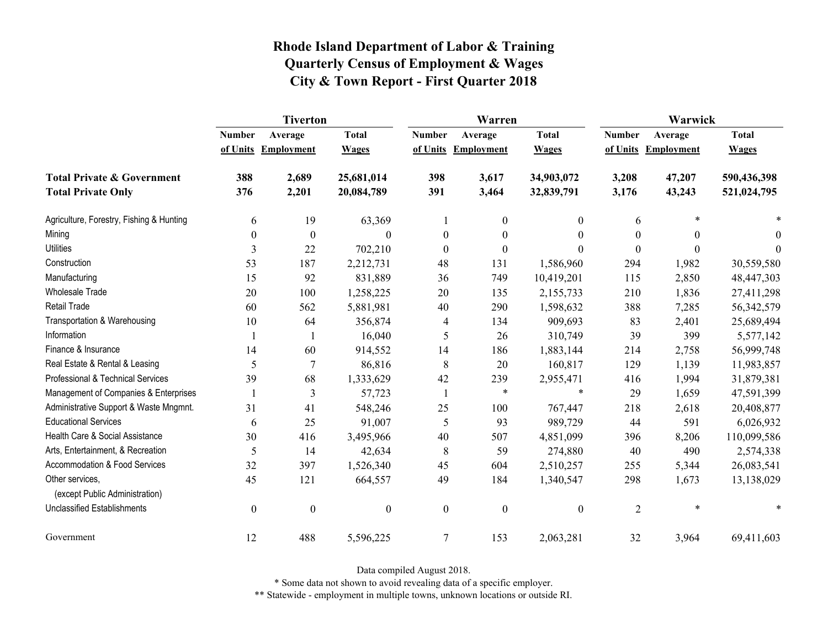|                                                   | <b>Tiverton</b>  |                   |                  |                  | Warren              |                  | Warwick        |                   |              |
|---------------------------------------------------|------------------|-------------------|------------------|------------------|---------------------|------------------|----------------|-------------------|--------------|
|                                                   | <b>Number</b>    | Average           | <b>Total</b>     | <b>Number</b>    | Average             | <b>Total</b>     | <b>Number</b>  | Average           | <b>Total</b> |
|                                                   | of Units         | <b>Employment</b> | <b>Wages</b>     |                  | of Units Employment | <b>Wages</b>     | of Units       | <b>Employment</b> | <b>Wages</b> |
| <b>Total Private &amp; Government</b>             | 388              | 2,689             | 25,681,014       | 398              | 3,617               | 34,903,072       | 3,208          | 47,207            | 590,436,398  |
| <b>Total Private Only</b>                         | 376              | 2,201             | 20,084,789       | 391              | 3,464               | 32,839,791       | 3,176          | 43,243            | 521,024,795  |
| Agriculture, Forestry, Fishing & Hunting          | 6                | 19                | 63,369           |                  | $\boldsymbol{0}$    | $\boldsymbol{0}$ | 6              | $\ast$            |              |
| Mining                                            | $\boldsymbol{0}$ | $\boldsymbol{0}$  | $\Omega$         | $\boldsymbol{0}$ | $\boldsymbol{0}$    | $\boldsymbol{0}$ | 0              | $\theta$          | $\theta$     |
| <b>Utilities</b>                                  | 3                | 22                | 702,210          | $\mathbf{0}$     | $\mathbf{0}$        | $\theta$         | $\Omega$       | $\theta$          | $\theta$     |
| Construction                                      | 53               | 187               | 2,212,731        | 48               | 131                 | 1,586,960        | 294            | 1,982             | 30,559,580   |
| Manufacturing                                     | 15               | 92                | 831,889          | 36               | 749                 | 10,419,201       | 115            | 2,850             | 48,447,303   |
| <b>Wholesale Trade</b>                            | 20               | 100               | 1,258,225        | 20               | 135                 | 2,155,733        | 210            | 1,836             | 27,411,298   |
| <b>Retail Trade</b>                               | 60               | 562               | 5,881,981        | 40               | 290                 | 1,598,632        | 388            | 7,285             | 56, 342, 579 |
| Transportation & Warehousing                      | 10               | 64                | 356,874          | 4                | 134                 | 909,693          | 83             | 2,401             | 25,689,494   |
| Information                                       |                  |                   | 16,040           | 5                | 26                  | 310,749          | 39             | 399               | 5,577,142    |
| Finance & Insurance                               | 14               | 60                | 914,552          | 14               | 186                 | 1,883,144        | 214            | 2,758             | 56,999,748   |
| Real Estate & Rental & Leasing                    | 5                | 7                 | 86,816           | 8                | 20                  | 160,817          | 129            | 1,139             | 11,983,857   |
| Professional & Technical Services                 | 39               | 68                | 1,333,629        | 42               | 239                 | 2,955,471        | 416            | 1,994             | 31,879,381   |
| Management of Companies & Enterprises             |                  | 3                 | 57,723           | 1                | $\ast$              | $\ast$           | 29             | 1,659             | 47,591,399   |
| Administrative Support & Waste Mngmnt.            | 31               | 41                | 548,246          | 25               | 100                 | 767,447          | 218            | 2,618             | 20,408,877   |
| <b>Educational Services</b>                       | 6                | 25                | 91,007           | 5                | 93                  | 989,729          | 44             | 591               | 6,026,932    |
| Health Care & Social Assistance                   | 30               | 416               | 3,495,966        | 40               | 507                 | 4,851,099        | 396            | 8,206             | 110,099,586  |
| Arts, Entertainment, & Recreation                 | 5                | 14                | 42,634           | 8                | 59                  | 274,880          | 40             | 490               | 2,574,338    |
| <b>Accommodation &amp; Food Services</b>          | 32               | 397               | 1,526,340        | 45               | 604                 | 2,510,257        | 255            | 5,344             | 26,083,541   |
| Other services,<br>(except Public Administration) | 45               | 121               | 664,557          | 49               | 184                 | 1,340,547        | 298            | 1,673             | 13,138,029   |
| <b>Unclassified Establishments</b>                | $\boldsymbol{0}$ | $\boldsymbol{0}$  | $\boldsymbol{0}$ | $\boldsymbol{0}$ | $\boldsymbol{0}$    | $\boldsymbol{0}$ | $\overline{2}$ | $\ast$            | *            |
| Government                                        | 12               | 488               | 5,596,225        | $\tau$           | 153                 | 2,063,281        | 32             | 3,964             | 69,411,603   |

Data compiled August 2018.

\* Some data not shown to avoid revealing data of a specific employer.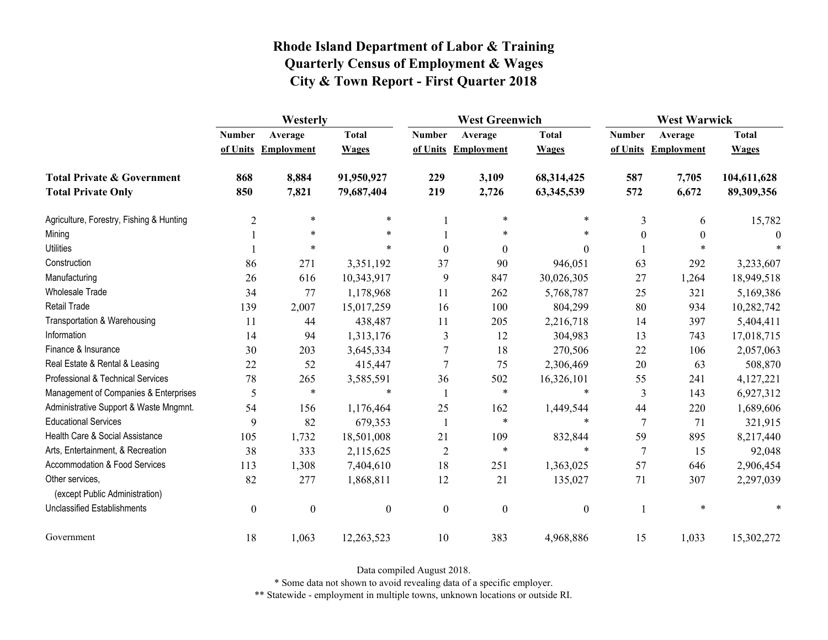|                                                   | Westerly         |                     |                  | <b>West Greenwich</b> |                     |                  | <b>West Warwick</b> |                     |              |
|---------------------------------------------------|------------------|---------------------|------------------|-----------------------|---------------------|------------------|---------------------|---------------------|--------------|
|                                                   | <b>Number</b>    | Average             | <b>Total</b>     | <b>Number</b>         | Average             | <b>Total</b>     | <b>Number</b>       | Average             | <b>Total</b> |
|                                                   |                  | of Units Employment | <b>Wages</b>     |                       | of Units Employment | <b>Wages</b>     |                     | of Units Employment | <b>Wages</b> |
| <b>Total Private &amp; Government</b>             | 868              | 8,884               | 91,950,927       | 229                   | 3,109               | 68,314,425       | 587                 | 7,705               | 104,611,628  |
| <b>Total Private Only</b>                         | 850              | 7,821               | 79,687,404       | 219                   | 2,726               | 63,345,539       | 572                 | 6,672               | 89,309,356   |
| Agriculture, Forestry, Fishing & Hunting          | $\overline{2}$   | $\ast$              | $\ast$           |                       | $\ast$              | $\ast$           | 3                   | 6                   | 15,782       |
| Mining                                            |                  | $\ast$              | $\ast$           |                       | $\ast$              | *                | $\theta$            | 0                   | $\Omega$     |
| <b>Utilities</b>                                  |                  | $\ast$              | $\ast$           | $\theta$              | $\mathbf{0}$        | $\theta$         |                     | $\ast$              |              |
| Construction                                      | 86               | 271                 | 3,351,192        | 37                    | 90                  | 946,051          | 63                  | 292                 | 3,233,607    |
| Manufacturing                                     | 26               | 616                 | 10,343,917       | 9                     | 847                 | 30,026,305       | 27                  | 1,264               | 18,949,518   |
| <b>Wholesale Trade</b>                            | 34               | 77                  | 1,178,968        | 11                    | 262                 | 5,768,787        | 25                  | 321                 | 5,169,386    |
| <b>Retail Trade</b>                               | 139              | 2,007               | 15,017,259       | 16                    | 100                 | 804,299          | 80                  | 934                 | 10,282,742   |
| Transportation & Warehousing                      | 11               | 44                  | 438,487          | 11                    | 205                 | 2,216,718        | 14                  | 397                 | 5,404,411    |
| Information                                       | 14               | 94                  | 1,313,176        | 3                     | 12                  | 304,983          | 13                  | 743                 | 17,018,715   |
| Finance & Insurance                               | 30               | 203                 | 3,645,334        | 7                     | 18                  | 270,506          | 22                  | 106                 | 2,057,063    |
| Real Estate & Rental & Leasing                    | 22               | 52                  | 415,447          | 7                     | 75                  | 2,306,469        | 20                  | 63                  | 508,870      |
| Professional & Technical Services                 | 78               | 265                 | 3,585,591        | 36                    | 502                 | 16,326,101       | 55                  | 241                 | 4,127,221    |
| Management of Companies & Enterprises             | 5                | $\ast$              | $\ast$           |                       | $\ast$              | $\ast$           | 3                   | 143                 | 6,927,312    |
| Administrative Support & Waste Mngmnt.            | 54               | 156                 | 1,176,464        | 25                    | 162                 | 1,449,544        | 44                  | 220                 | 1,689,606    |
| <b>Educational Services</b>                       | 9                | 82                  | 679,353          | -1                    | $\ast$              | *                | 7                   | 71                  | 321,915      |
| Health Care & Social Assistance                   | 105              | 1,732               | 18,501,008       | 21                    | 109                 | 832,844          | 59                  | 895                 | 8,217,440    |
| Arts, Entertainment, & Recreation                 | 38               | 333                 | 2,115,625        | $\overline{2}$        | $\ast$              | $\ast$           | $\overline{7}$      | 15                  | 92,048       |
| Accommodation & Food Services                     | 113              | 1,308               | 7,404,610        | 18                    | 251                 | 1,363,025        | 57                  | 646                 | 2,906,454    |
| Other services,<br>(except Public Administration) | 82               | 277                 | 1,868,811        | 12                    | 21                  | 135,027          | 71                  | 307                 | 2,297,039    |
| <b>Unclassified Establishments</b>                | $\boldsymbol{0}$ | $\boldsymbol{0}$    | $\boldsymbol{0}$ | $\boldsymbol{0}$      | $\boldsymbol{0}$    | $\boldsymbol{0}$ |                     | $\ast$              |              |
| Government                                        | 18               | 1,063               | 12,263,523       | 10                    | 383                 | 4,968,886        | 15                  | 1,033               | 15,302,272   |

Data compiled August 2018.

\* Some data not shown to avoid revealing data of a specific employer.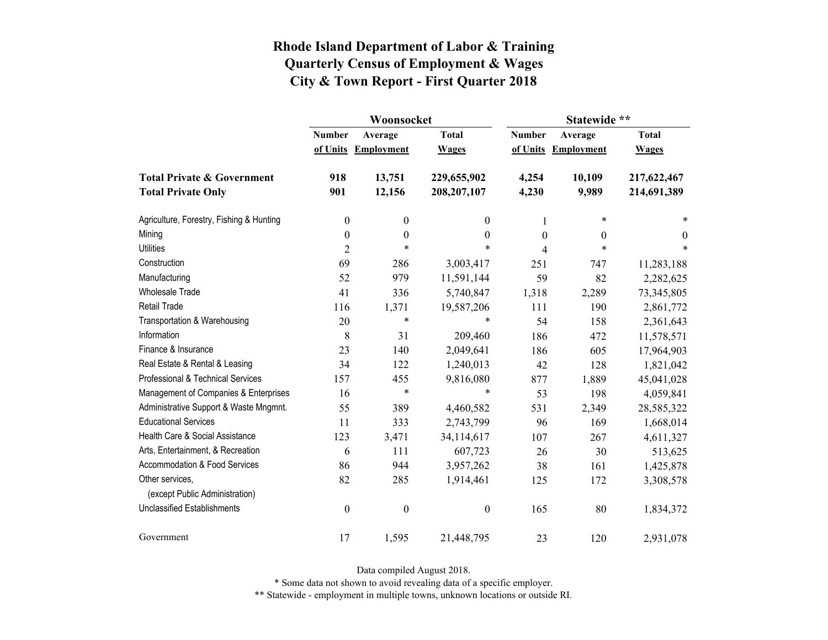|                                                   |                  | Woonsocket        |                  | Statewide **  |                   |              |  |
|---------------------------------------------------|------------------|-------------------|------------------|---------------|-------------------|--------------|--|
|                                                   | <b>Number</b>    | Average           | <b>Total</b>     | <b>Number</b> | Average           | <b>Total</b> |  |
|                                                   | of Units         | <b>Employment</b> | <b>Wages</b>     | of Units      | <b>Employment</b> | <b>Wages</b> |  |
| <b>Total Private &amp; Government</b>             | 918              | 13,751            | 229,655,902      | 4,254         | 10,109            | 217,622,467  |  |
| <b>Total Private Only</b>                         | 901              | 12,156            | 208, 207, 107    | 4,230         | 9,989             | 214,691,389  |  |
| Agriculture, Forestry, Fishing & Hunting          | $\boldsymbol{0}$ | $\boldsymbol{0}$  | 0                | 1             | $\ast$            | *            |  |
| Mining                                            | $\boldsymbol{0}$ | $\boldsymbol{0}$  | $\boldsymbol{0}$ | $\theta$      | 0                 | $\theta$     |  |
| <b>Utilities</b>                                  | $\overline{2}$   | $\ast$            | $\ast$           | 4             | $\ast$            | $\ast$       |  |
| Construction                                      | 69               | 286               | 3,003,417        | 251           | 747               | 11,283,188   |  |
| Manufacturing                                     | 52               | 979               | 11,591,144       | 59            | 82                | 2,282,625    |  |
| <b>Wholesale Trade</b>                            | 41               | 336               | 5,740,847        | 1,318         | 2,289             | 73,345,805   |  |
| Retail Trade                                      | 116              | 1,371             | 19,587,206       | 111           | 190               | 2,861,772    |  |
| Transportation & Warehousing                      | 20               | $\ast$            | *                | 54            | 158               | 2,361,643    |  |
| Information                                       | 8                | 31                | 209,460          | 186           | 472               | 11,578,571   |  |
| Finance & Insurance                               | 23               | 140               | 2,049,641        | 186           | 605               | 17,964,903   |  |
| Real Estate & Rental & Leasing                    | 34               | 122               | 1,240,013        | 42            | 128               | 1,821,042    |  |
| Professional & Technical Services                 | 157              | 455               | 9,816,080        | 877           | 1,889             | 45,041,028   |  |
| Management of Companies & Enterprises             | 16               | $\ast$            | $\ast$           | 53            | 198               | 4,059,841    |  |
| Administrative Support & Waste Mngmnt.            | 55               | 389               | 4,460,582        | 531           | 2,349             | 28,585,322   |  |
| <b>Educational Services</b>                       | 11               | 333               | 2,743,799        | 96            | 169               | 1,668,014    |  |
| Health Care & Social Assistance                   | 123              | 3,471             | 34,114,617       | 107           | 267               | 4,611,327    |  |
| Arts, Entertainment, & Recreation                 | 6                | 111               | 607,723          | 26            | 30                | 513,625      |  |
| Accommodation & Food Services                     | 86               | 944               | 3,957,262        | 38            | 161               | 1,425,878    |  |
| Other services,<br>(except Public Administration) | 82               | 285               | 1,914,461        | 125           | 172               | 3,308,578    |  |
| <b>Unclassified Establishments</b>                | $\boldsymbol{0}$ | $\boldsymbol{0}$  | $\boldsymbol{0}$ | 165           | 80                | 1,834,372    |  |
| Government                                        | 17               | 1,595             | 21,448,795       | 23            | 120               | 2,931,078    |  |

Data compiled August 2018.

\* Some data not shown to avoid revealing data of a specific employer.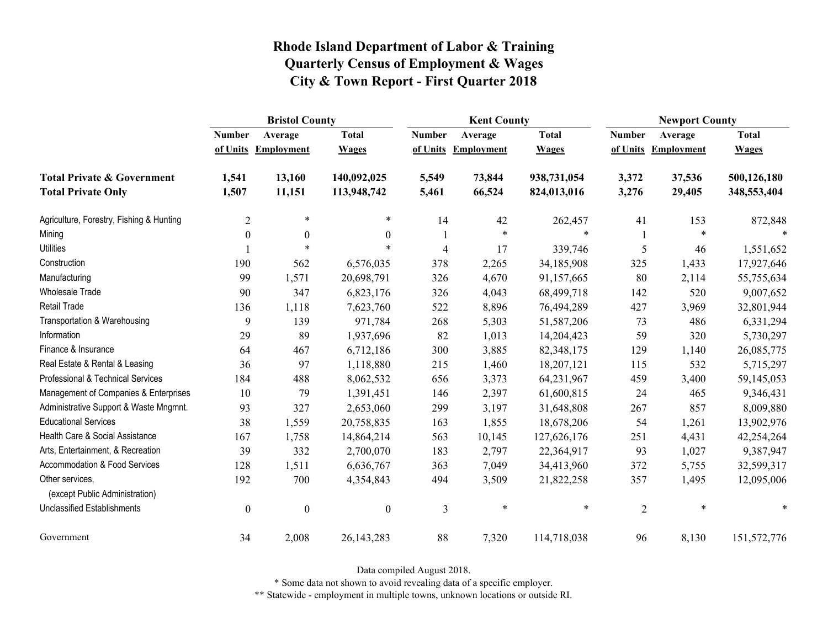|                                                   | <b>Bristol County</b> |                     |                  | <b>Kent County</b> |                   |              | <b>Newport County</b> |                     |              |
|---------------------------------------------------|-----------------------|---------------------|------------------|--------------------|-------------------|--------------|-----------------------|---------------------|--------------|
|                                                   | <b>Number</b>         | Average             | <b>Total</b>     | <b>Number</b>      | Average           | <b>Total</b> | <b>Number</b>         | Average             | <b>Total</b> |
|                                                   |                       | of Units Employment | <b>Wages</b>     | of Units           | <b>Employment</b> | <b>Wages</b> |                       | of Units Employment | <b>Wages</b> |
| <b>Total Private &amp; Government</b>             | 1,541                 | 13,160              | 140,092,025      | 5,549              | 73,844            | 938,731,054  | 3,372                 | 37,536              | 500,126,180  |
| <b>Total Private Only</b>                         | 1,507                 | 11,151              | 113,948,742      | 5,461              | 66,524            | 824,013,016  | 3,276                 | 29,405              | 348,553,404  |
| Agriculture, Forestry, Fishing & Hunting          | $\overline{2}$        | $\ast$              | $\ast$           | 14                 | 42                | 262,457      | 41                    | 153                 | 872,848      |
| Mining                                            | $\boldsymbol{0}$      | $\boldsymbol{0}$    | $\boldsymbol{0}$ |                    | $\ast$            | $\ast$       |                       | *                   |              |
| <b>Utilities</b>                                  |                       | $\ast$              | $\ast$           | 4                  | 17                | 339,746      | 5                     | 46                  | 1,551,652    |
| Construction                                      | 190                   | 562                 | 6,576,035        | 378                | 2,265             | 34,185,908   | 325                   | 1,433               | 17,927,646   |
| Manufacturing                                     | 99                    | 1,571               | 20,698,791       | 326                | 4,670             | 91,157,665   | 80                    | 2,114               | 55,755,634   |
| Wholesale Trade                                   | 90                    | 347                 | 6,823,176        | 326                | 4,043             | 68,499,718   | 142                   | 520                 | 9,007,652    |
| Retail Trade                                      | 136                   | 1,118               | 7,623,760        | 522                | 8,896             | 76,494,289   | 427                   | 3,969               | 32,801,944   |
| Transportation & Warehousing                      | 9                     | 139                 | 971,784          | 268                | 5,303             | 51,587,206   | 73                    | 486                 | 6,331,294    |
| Information                                       | 29                    | 89                  | 1,937,696        | 82                 | 1,013             | 14,204,423   | 59                    | 320                 | 5,730,297    |
| Finance & Insurance                               | 64                    | 467                 | 6,712,186        | 300                | 3,885             | 82,348,175   | 129                   | 1,140               | 26,085,775   |
| Real Estate & Rental & Leasing                    | 36                    | 97                  | 1,118,880        | 215                | 1,460             | 18,207,121   | 115                   | 532                 | 5,715,297    |
| Professional & Technical Services                 | 184                   | 488                 | 8,062,532        | 656                | 3,373             | 64,231,967   | 459                   | 3,400               | 59,145,053   |
| Management of Companies & Enterprises             | 10                    | 79                  | 1,391,451        | 146                | 2,397             | 61,600,815   | 24                    | 465                 | 9,346,431    |
| Administrative Support & Waste Mngmnt.            | 93                    | 327                 | 2,653,060        | 299                | 3,197             | 31,648,808   | 267                   | 857                 | 8,009,880    |
| <b>Educational Services</b>                       | 38                    | 1,559               | 20,758,835       | 163                | 1,855             | 18,678,206   | 54                    | 1,261               | 13,902,976   |
| Health Care & Social Assistance                   | 167                   | 1,758               | 14,864,214       | 563                | 10,145            | 127,626,176  | 251                   | 4,431               | 42,254,264   |
| Arts, Entertainment, & Recreation                 | 39                    | 332                 | 2,700,070        | 183                | 2,797             | 22,364,917   | 93                    | 1,027               | 9,387,947    |
| Accommodation & Food Services                     | 128                   | 1,511               | 6,636,767        | 363                | 7,049             | 34,413,960   | 372                   | 5,755               | 32,599,317   |
| Other services,<br>(except Public Administration) | 192                   | 700                 | 4,354,843        | 494                | 3,509             | 21,822,258   | 357                   | 1,495               | 12,095,006   |
| <b>Unclassified Establishments</b>                | $\boldsymbol{0}$      | $\boldsymbol{0}$    | $\boldsymbol{0}$ | 3                  | $\ast$            | $\ast$       | $\overline{2}$        | $\ast$              | $\ast$       |
| Government                                        | 34                    | 2,008               | 26, 143, 283     | 88                 | 7,320             | 114,718,038  | 96                    | 8,130               | 151,572,776  |

Data compiled August 2018.

\* Some data not shown to avoid revealing data of a specific employer.